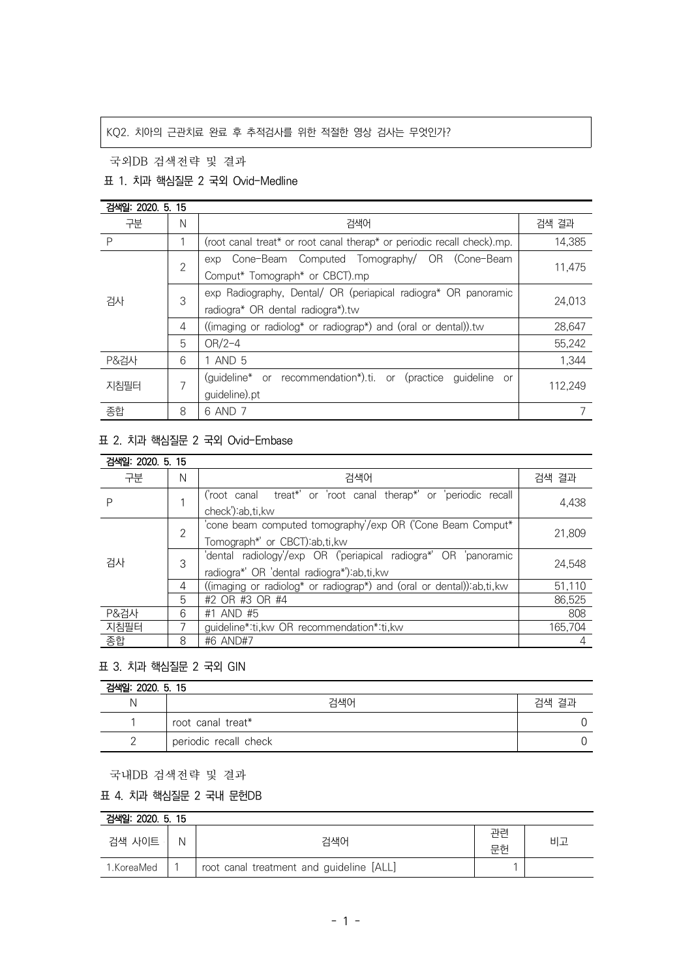# KQ2. 치아의 근관치료 완료 후 추적검사를 위한 적절한 영상 검사는 무엇인가?

국외DB 검색전략 및 결과

### 표 1. 치과 핵심질문 2 국외 Ovid-Medline

| 검색일: 2020, 5, 15 |                |                                                                        |         |  |
|------------------|----------------|------------------------------------------------------------------------|---------|--|
| 구분               | N              | 검색어                                                                    | 검색 결과   |  |
| P                |                | (root canal treat* or root canal therap* or periodic recall check).mp. | 14,385  |  |
| 검사               | $\overline{2}$ | exp Cone-Beam Computed Tomography/ OR (Cone-Beam                       | 11,475  |  |
|                  |                | Comput* Tomograph* or CBCT).mp                                         |         |  |
|                  | 3              | exp Radiography, Dental/ OR (periapical radiogra* OR panoramic         | 24.013  |  |
|                  |                | radiogra* OR dental radiogra*).tw                                      |         |  |
|                  | 4              | ((imaging or radiolog* or radiograp*) and (oral or dental)).tw         | 28,647  |  |
|                  | 5              | $OR/2-4$                                                               | 55,242  |  |
| <b>P&amp;검사</b>  | 6              | 1 AND 5                                                                | 1,344   |  |
| 지침필터             | 7              | (guideline* or recommendation*).ti. or (practice<br>guideline or       | 112,249 |  |
|                  |                | guideline).pt                                                          |         |  |
| 종합               | 8              | 6 AND 7                                                                |         |  |

# 표 2. 치과 핵심질문 2 국외 Ovid-Embase

| 검색일: 2020. 5. 15 |   |                                                                                                                  |         |
|------------------|---|------------------------------------------------------------------------------------------------------------------|---------|
| 구분               | N | 검색어                                                                                                              | 검색 결과   |
|                  |   | ('root canal treat*' or 'root canal therap*' or 'periodic recall<br>check'):ab,ti,kw                             | 4.438   |
| 검사               | 2 | 'cone beam computed tomography'/exp OR ('Cone Beam Comput*                                                       | 21,809  |
|                  |   | Tomograph*' or CBCT) ab, ti, kw                                                                                  |         |
|                  | 3 | 'dental radiology'/exp OR ('periapical radiogra*' OR 'panoramic<br>radiogra*' OR 'dental radiogra*'): ab, ti, kw | 24.548  |
|                  | 4 | ((imaging or radiolog* or radiograp*) and (oral or dental)) ab, ti, kw                                           | 51.110  |
|                  | 5 | #2 OR #3 OR #4                                                                                                   | 86.525  |
| P&검사             | 6 | #1 AND #5                                                                                                        | 808     |
| 지침필터             |   | guideline*:ti, kw OR recommendation*:ti, kw                                                                      | 165.704 |
| 종합               | 8 | #6 AND#7                                                                                                         |         |

#### 표 3. 치과 핵심질문 2 국외 GIN

| 검색일: 2020. 5. 15 |                       |       |  |  |
|------------------|-----------------------|-------|--|--|
|                  | 검색어                   | 검색 결과 |  |  |
|                  | root canal treat*     |       |  |  |
|                  | periodic recall check |       |  |  |

국내DB 검색전략 및 결과

### 표 4. 치과 핵심질문 2 국내 문헌DB

| 검색일: 2020, 5, 15 |   |                                          |          |    |  |  |
|------------------|---|------------------------------------------|----------|----|--|--|
| 검색 사이트           | Ν | 검색어                                      | 관려<br>무한 | 비고 |  |  |
| 1.KoreaMed       |   | root canal treatment and guideline [ALL] |          |    |  |  |